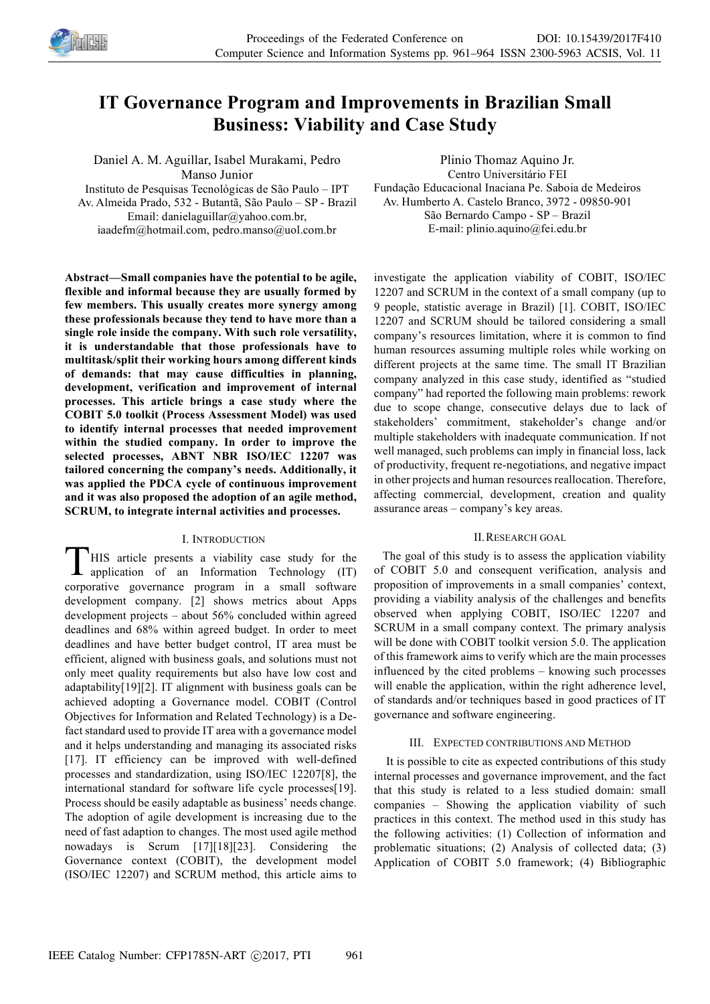

# **IT Governance Program and Improvements in Brazilian Small Business: Viability and Case Study**

Daniel A. M. Aguillar, Isabel Murakami, Pedro Manso Junior Instituto de Pesquisas Tecnológicas de São Paulo – IPT Av. Almeida Prado, 532 - Butantã, São Paulo – SP - Brazil Email: danielaguillar@yahoo.com.br, iaadefm@hotmail.com, pedro.manso@uol.com.br

**Abstract—Small companies have the potential to be agile, flexible and informal because they are usually formed by few members. This usually creates more synergy among these professionals because they tend to have more than a single role inside the company. With such role versatility, it is understandable that those professionals have to multitask/split their working hours among different kinds of demands: that may cause difficulties in planning, development, verification and improvement of internal processes. This article brings a case study where the COBIT 5.0 toolkit (Process Assessment Model) was used to identify internal processes that needed improvement within the studied company. In order to improve the selected processes, ABNT NBR ISO/IEC 12207 was tailored concerning the company's needs. Additionally, it was applied the PDCA cycle of continuous improvement and it was also proposed the adoption of an agile method, SCRUM, to integrate internal activities and processes.**

# I. INTRODUCTION

HIS article presents a viability case study for the application of an Information Technology (IT) corporative governance program in a small software development company. [2] shows metrics about Apps development projects – about 56% concluded within agreed deadlines and 68% within agreed budget. In order to meet deadlines and have better budget control, IT area must be efficient, aligned with business goals, and solutions must not only meet quality requirements but also have low cost and adaptability[19][2]. IT alignment with business goals can be achieved adopting a Governance model. COBIT (Control Objectives for Information and Related Technology) is a Defact standard used to provide IT area with a governance model and it helps understanding and managing its associated risks [17]. IT efficiency can be improved with well-defined processes and standardization, using ISO/IEC 12207[8], the international standard for software life cycle processes[19]. Process should be easily adaptable as business' needs change. The adoption of agile development is increasing due to the need of fast adaption to changes. The most used agile method nowadays is Scrum [17][18][23]. Considering the Governance context (COBIT), the development model (ISO/IEC 12207) and SCRUM method, this article aims to  $T^{\text{\tiny{HI}}}$ 

Plinio Thomaz Aquino Jr. Centro Universitário FEI Fundação Educacional Inaciana Pe. Saboia de Medeiros Av. Humberto A. Castelo Branco, 3972 - 09850-901 São Bernardo Campo - SP – Brazil E-mail: plinio.aquino@fei.edu.br

investigate the application viability of COBIT, ISO/IEC 12207 and SCRUM in the context of a small company (up to 9 people, statistic average in Brazil) [1]. COBIT, ISO/IEC 12207 and SCRUM should be tailored considering a small company's resources limitation, where it is common to find human resources assuming multiple roles while working on different projects at the same time. The small IT Brazilian company analyzed in this case study, identified as "studied company" had reported the following main problems: rework due to scope change, consecutive delays due to lack of stakeholders' commitment, stakeholder's change and/or multiple stakeholders with inadequate communication. If not well managed, such problems can imply in financial loss, lack of productivity, frequent re-negotiations, and negative impact in other projects and human resources reallocation. Therefore, affecting commercial, development, creation and quality assurance areas – company's key areas.

### II.RESEARCH GOAL

The goal of this study is to assess the application viability of COBIT 5.0 and consequent verification, analysis and proposition of improvements in a small companies' context, providing a viability analysis of the challenges and benefits observed when applying COBIT, ISO/IEC 12207 and SCRUM in a small company context. The primary analysis will be done with COBIT toolkit version 5.0. The application of this framework aims to verify which are the main processes influenced by the cited problems – knowing such processes will enable the application, within the right adherence level, of standards and/or techniques based in good practices of IT governance and software engineering.

# III. EXPECTED CONTRIBUTIONS AND METHOD

It is possible to cite as expected contributions of this study internal processes and governance improvement, and the fact that this study is related to a less studied domain: small companies – Showing the application viability of such practices in this context. The method used in this study has the following activities: (1) Collection of information and problematic situations; (2) Analysis of collected data; (3) Application of COBIT 5.0 framework; (4) Bibliographic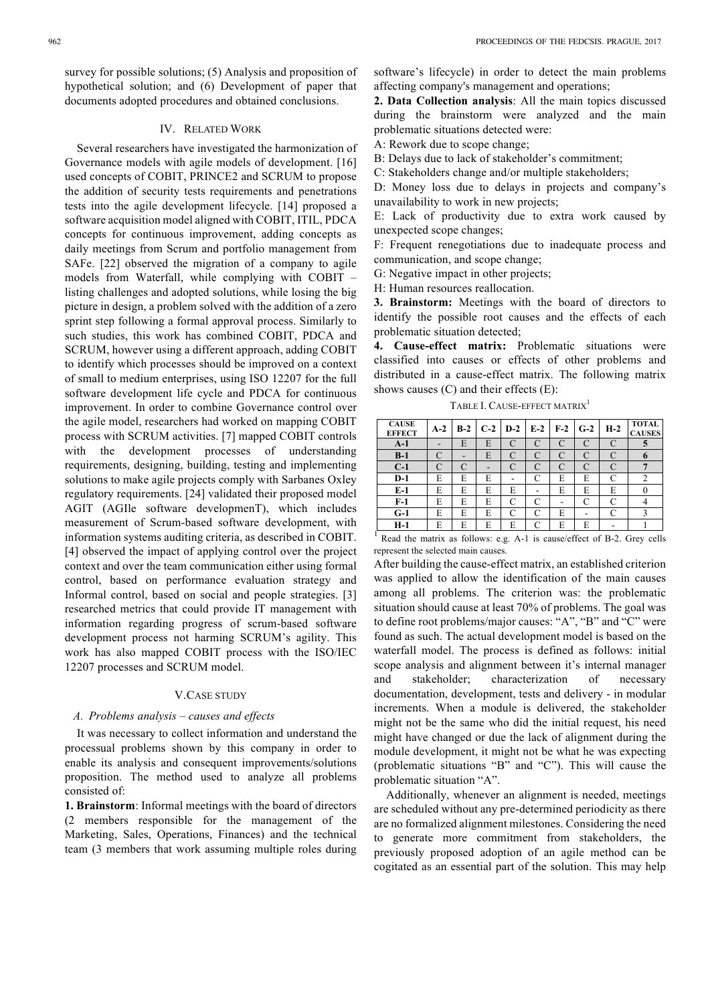survey for possible solutions; (5) Analysis and proposition of hypothetical solution; and (6) Development of paper that documents adopted procedures and obtained conclusions.

## IV. RELATED WORK

Several researchers have investigated the harmonization of Governance models with agile models of development. [16] used concepts of COBIT, PRINCE2 and SCRUM to propose the addition of security tests requirements and penetrations tests into the agile development lifecycle. [14] proposed a software acquisition model aligned with COBIT, ITIL, PDCA concepts for continuous improvement, adding concepts as daily meetings from Scrum and portfolio management from SAFe. [22] observed the migration of a company to agile models from Waterfall, while complying with COBIT – listing challenges and adopted solutions, while losing the big picture in design, a problem solved with the addition of a zero sprint step following a formal approval process. Similarly to such studies, this work has combined COBIT, PDCA and SCRUM, however using a different approach, adding COBIT to identify which processes should be improved on a context of small to medium enterprises, using ISO 12207 for the full software development life cycle and PDCA for continuous improvement. In order to combine Governance control over the agile model, researchers had worked on mapping COBIT process with SCRUM activities. [7] mapped COBIT controls with the development processes of understanding requirements, designing, building, testing and implementing solutions to make agile projects comply with Sarbanes Oxley regulatory requirements. [24] validated their proposed model AGIT (AGIle software developmenT), which includes measurement of Scrum-based software development, with information systems auditing criteria, as described in COBIT. [4] observed the impact of applying control over the project context and over the team communication either using formal control, based on performance evaluation strategy and Informal control, based on social and people strategies. [3] researched metrics that could provide IT management with information regarding progress of scrum-based software development process not harming SCRUM's agility. This work has also mapped COBIT process with the ISO/IEC 12207 processes and SCRUM model.

### V.CASE STUDY

### *A. Problems analysis – causes and effects*

It was necessary to collect information and understand the processual problems shown by this company in order to enable its analysis and consequent improvements/solutions proposition. The method used to analyze all problems consisted of:

**1. Brainstorm**: Informal meetings with the board of directors (2 members responsible for the management of the Marketing, Sales, Operations, Finances) and the technical team (3 members that work assuming multiple roles during software's lifecycle) in order to detect the main problems affecting company's management and operations;

**2. Data Collection analysis**: All the main topics discussed during the brainstorm were analyzed and the main problematic situations detected were:

A: Rework due to scope change;

B: Delays due to lack of stakeholder's commitment;

C: Stakeholders change and/or multiple stakeholders;

D: Money loss due to delays in projects and company's unavailability to work in new projects;

E: Lack of productivity due to extra work caused by unexpected scope changes;

F: Frequent renegotiations due to inadequate process and communication, and scope change;

G: Negative impact in other projects;

H: Human resources reallocation.

**3. Brainstorm:** Meetings with the board of directors to identify the possible root causes and the effects of each problematic situation detected;

**4. Cause-effect matrix:** Problematic situations were classified into causes or effects of other problems and distributed in a cause-effect matrix. The following matrix shows causes (C) and their effects (E):

TABLE I. CAUSE-EFFECT MATRIX<sup>1</sup>

| <b>CAUSE</b><br><b>EFFECT</b> | $A-2$ | $B-2$ |   |   | $C-2$   D-2   E-2 | $F-2$ | $G-2$ | $H-2$ | <b>TOTAL</b><br><b>CAUSES</b> |
|-------------------------------|-------|-------|---|---|-------------------|-------|-------|-------|-------------------------------|
| $A-1$                         |       | E     | E |   | C                 | C     | C     |       |                               |
| $B-1$                         |       |       | E |   | C                 | C     |       |       |                               |
| $C-1$                         |       |       |   |   | $\subset$         |       |       |       |                               |
| $D-1$                         | E     | E     | E |   | C                 | E     | E     |       |                               |
| $E-1$                         | E     | E     | E | E |                   | E     | E     | E     |                               |
| $F-1$                         | E     | E     | E |   | C                 | -     | C     |       |                               |
| $G-1$                         | E     | E     | E |   | C                 | E     |       |       |                               |
| H-1                           | E     | E     | E | E |                   | E     | Е     |       |                               |

<sup>1</sup> Read the matrix as follows: e.g. A-1 is cause/effect of B-2. Grey cells represent the selected main causes.

After building the cause-effect matrix, an established criterion was applied to allow the identification of the main causes among all problems. The criterion was: the problematic situation should cause at least 70% of problems. The goal was to define root problems/major causes: "A", "B" and "C" were found as such. The actual development model is based on the waterfall model. The process is defined as follows: initial scope analysis and alignment between it's internal manager and stakeholder; characterization of necessary documentation, development, tests and delivery - in modular increments. When a module is delivered, the stakeholder might not be the same who did the initial request, his need might have changed or due the lack of alignment during the module development, it might not be what he was expecting (problematic situations "B" and "C"). This will cause the problematic situation "A".

Additionally, whenever an alignment is needed, meetings are scheduled without any pre-determined periodicity as there are no formalized alignment milestones. Considering the need to generate more commitment from stakeholders, the previously proposed adoption of an agile method can be cogitated as an essential part of the solution. This may help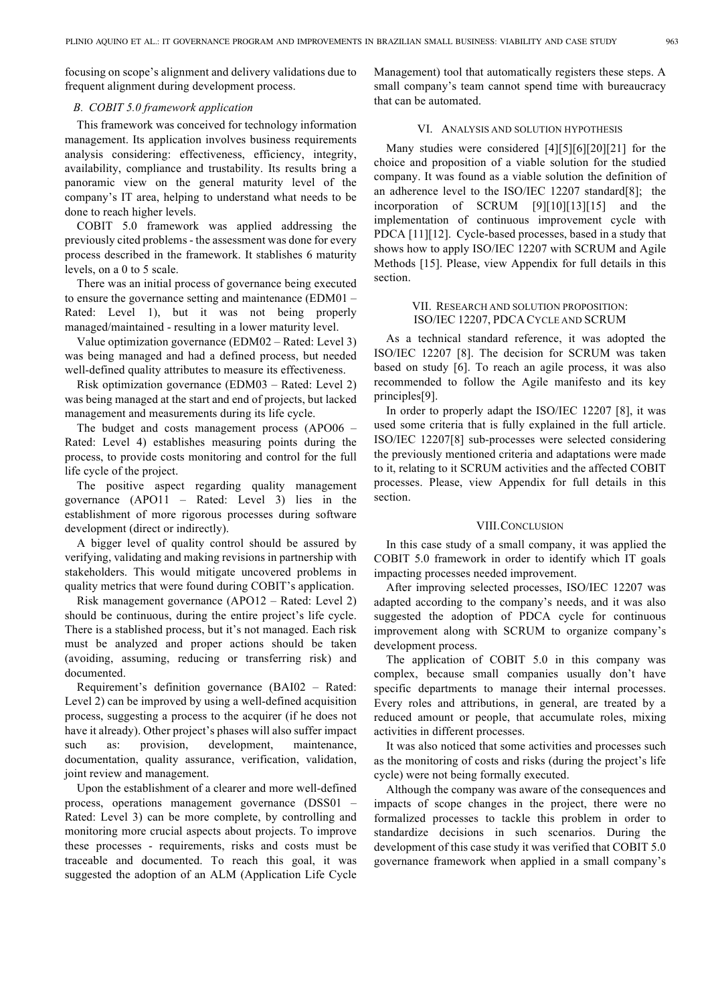focusing on scope's alignment and delivery validations due to frequent alignment during development process.

# *B. COBIT 5.0 framework application*

This framework was conceived for technology information management. Its application involves business requirements analysis considering: effectiveness, efficiency, integrity, availability, compliance and trustability. Its results bring a panoramic view on the general maturity level of the company's IT area, helping to understand what needs to be done to reach higher levels.

COBIT 5.0 framework was applied addressing the previously cited problems - the assessment was done for every process described in the framework. It stablishes 6 maturity levels, on a 0 to 5 scale.

There was an initial process of governance being executed to ensure the governance setting and maintenance (EDM01 – Rated: Level 1), but it was not being properly managed/maintained - resulting in a lower maturity level.

Value optimization governance (EDM02 – Rated: Level 3) was being managed and had a defined process, but needed well-defined quality attributes to measure its effectiveness.

Risk optimization governance (EDM03 – Rated: Level 2) was being managed at the start and end of projects, but lacked management and measurements during its life cycle.

The budget and costs management process (APO06 – Rated: Level 4) establishes measuring points during the process, to provide costs monitoring and control for the full life cycle of the project.

The positive aspect regarding quality management governance (APO11 – Rated: Level 3) lies in the establishment of more rigorous processes during software development (direct or indirectly).

A bigger level of quality control should be assured by verifying, validating and making revisions in partnership with stakeholders. This would mitigate uncovered problems in quality metrics that were found during COBIT's application.

Risk management governance (APO12 – Rated: Level 2) should be continuous, during the entire project's life cycle. There is a stablished process, but it's not managed. Each risk must be analyzed and proper actions should be taken (avoiding, assuming, reducing or transferring risk) and documented.

Requirement's definition governance (BAI02 – Rated: Level 2) can be improved by using a well-defined acquisition process, suggesting a process to the acquirer (if he does not have it already). Other project's phases will also suffer impact such as: provision, development, maintenance, documentation, quality assurance, verification, validation, joint review and management.

Upon the establishment of a clearer and more well-defined process, operations management governance (DSS01 – Rated: Level 3) can be more complete, by controlling and monitoring more crucial aspects about projects. To improve these processes - requirements, risks and costs must be traceable and documented. To reach this goal, it was suggested the adoption of an ALM (Application Life Cycle Management) tool that automatically registers these steps. A small company's team cannot spend time with bureaucracy that can be automated.

### VI. ANALYSIS AND SOLUTION HYPOTHESIS

Many studies were considered [4][5][6][20][21] for the choice and proposition of a viable solution for the studied company. It was found as a viable solution the definition of an adherence level to the ISO/IEC 12207 standard[8]; the incorporation of SCRUM [9][10][13][15] and the implementation of continuous improvement cycle with PDCA [11][12]. Cycle-based processes, based in a study that shows how to apply ISO/IEC 12207 with SCRUM and Agile Methods [15]. Please, view Appendix for full details in this section.

# VII. RESEARCH AND SOLUTION PROPOSITION: ISO/IEC 12207, PDCA CYCLE AND SCRUM

As a technical standard reference, it was adopted the ISO/IEC 12207 [8]. The decision for SCRUM was taken based on study [6]. To reach an agile process, it was also recommended to follow the Agile manifesto and its key principles[9].

In order to properly adapt the ISO/IEC 12207 [8], it was used some criteria that is fully explained in the full article. ISO/IEC 12207[8] sub-processes were selected considering the previously mentioned criteria and adaptations were made to it, relating to it SCRUM activities and the affected COBIT processes. Please, view Appendix for full details in this section.

## VIII.CONCLUSION

In this case study of a small company, it was applied the COBIT 5.0 framework in order to identify which IT goals impacting processes needed improvement.

After improving selected processes, ISO/IEC 12207 was adapted according to the company's needs, and it was also suggested the adoption of PDCA cycle for continuous improvement along with SCRUM to organize company's development process.

The application of COBIT 5.0 in this company was complex, because small companies usually don't have specific departments to manage their internal processes. Every roles and attributions, in general, are treated by a reduced amount or people, that accumulate roles, mixing activities in different processes.

It was also noticed that some activities and processes such as the monitoring of costs and risks (during the project's life cycle) were not being formally executed.

Although the company was aware of the consequences and impacts of scope changes in the project, there were no formalized processes to tackle this problem in order to standardize decisions in such scenarios. During the development of this case study it was verified that COBIT 5.0 governance framework when applied in a small company's